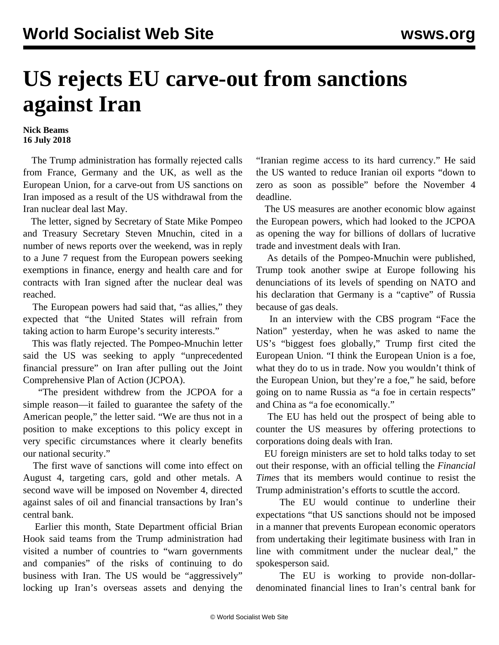## **US rejects EU carve-out from sanctions against Iran**

## **Nick Beams 16 July 2018**

 The Trump administration has formally rejected calls from France, Germany and the UK, as well as the European Union, for a carve-out from US sanctions on Iran imposed as a result of the US withdrawal from the Iran nuclear deal last May.

 The letter, signed by Secretary of State Mike Pompeo and Treasury Secretary Steven Mnuchin, cited in a number of news reports over the weekend, was in reply to a June 7 request from the European powers seeking exemptions in finance, energy and health care and for contracts with Iran signed after the nuclear deal was reached.

 The European powers had said that, "as allies," they expected that "the United States will refrain from taking action to harm Europe's security interests."

 This was flatly rejected. The Pompeo-Mnuchin letter said the US was seeking to apply "unprecedented financial pressure" on Iran after pulling out the Joint Comprehensive Plan of Action (JCPOA).

 "The president withdrew from the JCPOA for a simple reason—it failed to guarantee the safety of the American people," the letter said. "We are thus not in a position to make exceptions to this policy except in very specific circumstances where it clearly benefits our national security."

 The first wave of sanctions will come into effect on August 4, targeting cars, gold and other metals. A second wave will be imposed on November 4, directed against sales of oil and financial transactions by Iran's central bank.

 Earlier this month, State Department official Brian Hook said teams from the Trump administration had visited a number of countries to "warn governments and companies" of the risks of continuing to do business with Iran. The US would be "aggressively" locking up Iran's overseas assets and denying the "Iranian regime access to its hard currency." He said the US wanted to reduce Iranian oil exports "down to zero as soon as possible" before the November 4 deadline.

 The US measures are another economic blow against the European powers, which had looked to the JCPOA as opening the way for billions of dollars of lucrative trade and investment deals with Iran.

 As details of the Pompeo-Mnuchin were published, Trump took another swipe at Europe following his denunciations of its levels of spending on NATO and his declaration that Germany is a "captive" of Russia because of gas deals.

 In an interview with the CBS program "Face the Nation" yesterday, when he was asked to name the US's "biggest foes globally," Trump first cited the European Union. "I think the European Union is a foe, what they do to us in trade. Now you wouldn't think of the European Union, but they're a foe," he said, before going on to name Russia as "a foe in certain respects" and China as "a foe economically."

 The EU has held out the prospect of being able to counter the US measures by offering protections to corporations doing deals with Iran.

 EU foreign ministers are set to hold talks today to set out their response, with an official telling the *Financial Times* that its members would continue to resist the Trump administration's efforts to scuttle the accord.

 The EU would continue to underline their expectations "that US sanctions should not be imposed in a manner that prevents European economic operators from undertaking their legitimate business with Iran in line with commitment under the nuclear deal," the spokesperson said.

 The EU is working to provide non-dollardenominated financial lines to Iran's central bank for